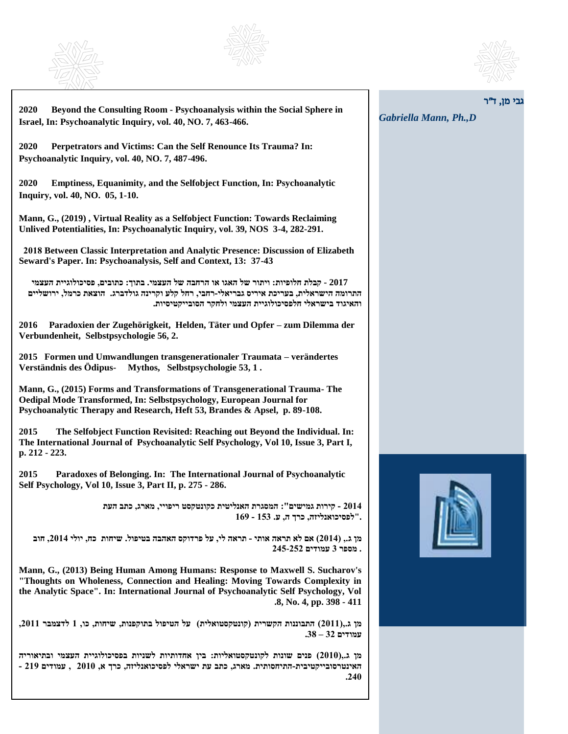





ב*י מו.* ד*"ר* 

*Gabriella Mann, Ph.,D*

**2020 Beyond the Consulting Room - Psychoanalysis within the Social Sphere in Israel, In: Psychoanalytic Inquiry, vol. 40, NO. 7, 463-466.** 

**2020 Perpetrators and Victims: Can the Self Renounce Its Trauma? In: Psychoanalytic Inquiry, vol. 40, NO. 7, 487-496.**

**2020 Emptiness, Equanimity, and the Selfobject Function, In: Psychoanalytic Inquiry, vol. 40, NO. 05, 1-10.**

**Mann, G., (2019) , Virtual Reality as a Selfobject Function: Towards Reclaiming Unlived Potentialities, In: Psychoanalytic Inquiry, vol. 39, NOS 3-4, 282-291.**

 **2018 Between Classic Interpretation and Analytic Presence: Discussion of Elizabeth Seward's Paper. In: Psychoanalysis, Self and Context, 13: 37-43**

 **2017 - קבלת חלופיות: ויתור של האגו או הרחבה של העצמי. בתוך: כתובים, פסיכולוגיית העצמי התרומה הישראלית, בעריכת איריס גבריאלי-רחבי, רחל קלע וקרינה גולדברג. הוצאת כרמל, ירושליים והאיגוד בישראלי חלפסיכולוגיית העצמי ולחקר הסובייקטיסיות.**

**2016 Paradoxien der Zugehörigkeit, Helden, Täter und Opfer – zum Dilemma der Verbundenheit, Selbstpsychologie 56, 2.**

**2015 Formen und Umwandlungen transgenerationaler Traumata – verändertes Verständnis des Ödipus- Mythos, Selbstpsychologie 53, 1 .**

**Mann, G., (2015) Forms and Transformations of Transgenerational Trauma- The Oedipal Mode Transformed, In: Selbstpsychology, European Journal for Psychoanalytic Therapy and Research, Heft 53, Brandes & Apsel, p. 89-108.**

**2015 The Selfobject Function Revisited: Reaching out Beyond the Individual. In: The International Journal of Psychoanalytic Self Psychology, Vol 10, Issue 3, Part I, p. 212 - 223.**

**2015 Paradoxes of Belonging. In: The International Journal of Psychoanalytic Self Psychology, Vol 10, Issue 3, Part II, p. 275 - 286.** 

> **2014 - קירות גמישים": המסגרת האנליטית כקונטקסט ריפויי, מארג, כתב העת ."לפסיכואנליזה, כרך ה, ע. 153 - 169**

**מן ג,. )2014( אם לא תראה אותי - תראה לי, על פרדוקס האהבה בטיפול. שיחות כח, יולי ,2014 חוב . מספר 3 עמודים 245-252**

**Mann, G., (2013) Being Human Among Humans: Response to Maxwell S. Sucharov's "Thoughts on Wholeness, Connection and Healing: Moving Towards Complexity in the Analytic Space". In: International Journal of Psychoanalytic Self Psychology, Vol .8, No. 4, pp. 398 - 411**

**מן ג,.)2011( התבוננות הקשרית )קונטקסטואלית( על הטיפול בתוקפנות, שיחות, כו, 1 לדצמבר ,2011 עמודים 32 – .38**

**מן ג,.)2010( פנים שונות לקונטקסטואליות: בין אחדותיות לשניות בפסיכולוגיית העצמי ובתיאוריה האינטרסובייקטיבית-התיחסותית. מארג, כתב עת ישראלי לפסיכואנליזה, כרך א, 2010 , עמודים 219 - .240**